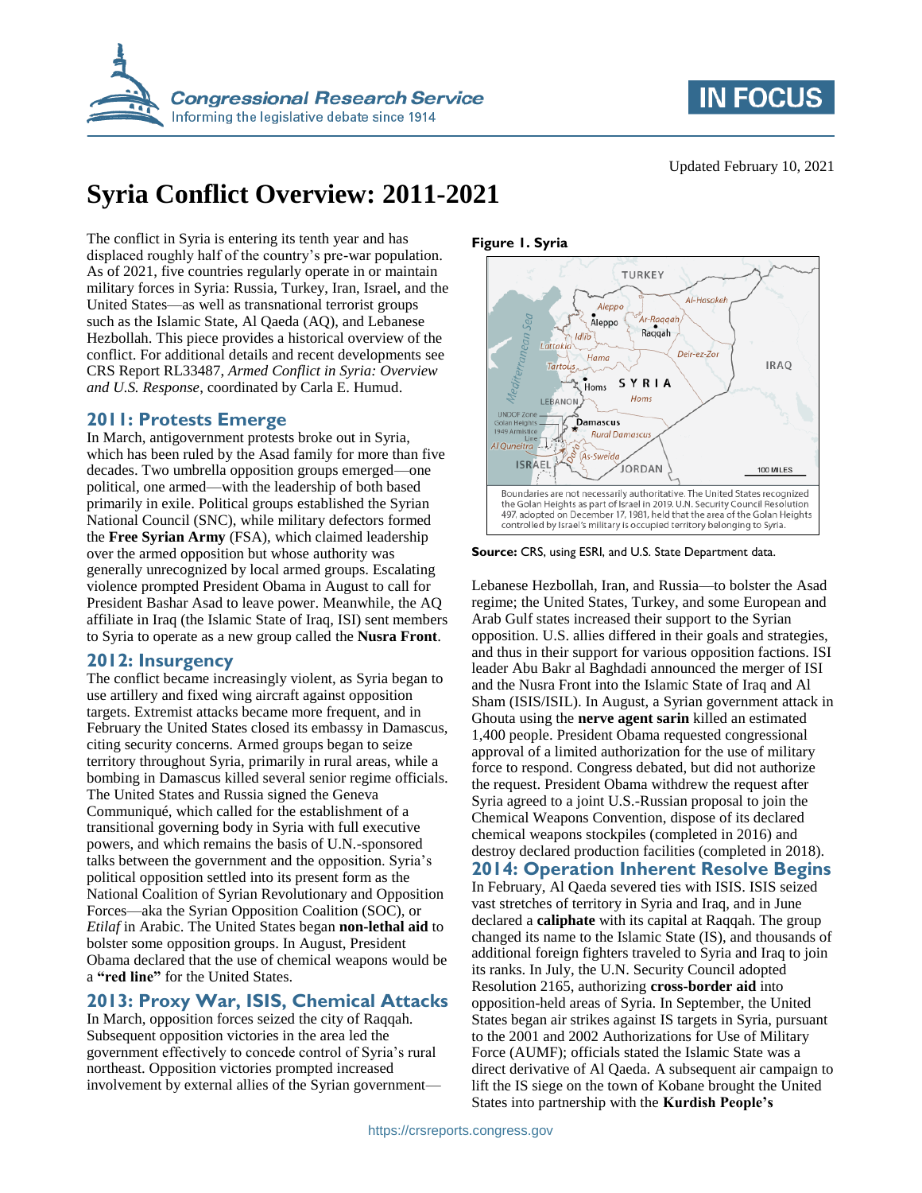



# **Syria Conflict Overview: 2011-2021**

The conflict in Syria is entering its tenth year and has displaced roughly half of the country's pre-war population. As of 2021, five countries regularly operate in or maintain military forces in Syria: Russia, Turkey, Iran, Israel, and the United States—as well as transnational terrorist groups such as the Islamic State, Al Qaeda (AQ), and Lebanese Hezbollah. This piece provides a historical overview of the conflict. For additional details and recent developments see CRS Report RL33487, *Armed Conflict in Syria: Overview and U.S. Response*, coordinated by Carla E. Humud.

#### **2011: Protests Emerge**

In March, antigovernment protests broke out in Syria, which has been ruled by the Asad family for more than five decades. Two umbrella opposition groups emerged—one political, one armed—with the leadership of both based primarily in exile. Political groups established the Syrian National Council (SNC), while military defectors formed the **Free Syrian Army** (FSA), which claimed leadership over the armed opposition but whose authority was generally unrecognized by local armed groups. Escalating violence prompted President Obama in August to call for President Bashar Asad to leave power. Meanwhile, the AQ affiliate in Iraq (the Islamic State of Iraq, ISI) sent members to Syria to operate as a new group called the **Nusra Front**.

# **2012: Insurgency**

The conflict became increasingly violent, as Syria began to use artillery and fixed wing aircraft against opposition targets. Extremist attacks became more frequent, and in February the United States closed its embassy in Damascus, citing security concerns. Armed groups began to seize territory throughout Syria, primarily in rural areas, while a bombing in Damascus killed several senior regime officials. The United States and Russia signed the Geneva Communiqué, which called for the establishment of a transitional governing body in Syria with full executive powers, and which remains the basis of U.N.-sponsored talks between the government and the opposition. Syria's political opposition settled into its present form as the National Coalition of Syrian Revolutionary and Opposition Forces—aka the Syrian Opposition Coalition (SOC), or *Etilaf* in Arabic. The United States began **non-lethal aid** to bolster some opposition groups. In August, President Obama declared that the use of chemical weapons would be a **"red line"** for the United States.

# **2013: Proxy War, ISIS, Chemical Attacks**

In March, opposition forces seized the city of Raqqah. Subsequent opposition victories in the area led the government effectively to concede control of Syria's rural northeast. Opposition victories prompted increased involvement by external allies of the Syrian government—

#### **Figure 1. Syria**



**Source:** CRS, using ESRI, and U.S. State Department data.

Lebanese Hezbollah, Iran, and Russia—to bolster the Asad regime; the United States, Turkey, and some European and Arab Gulf states increased their support to the Syrian opposition. U.S. allies differed in their goals and strategies, and thus in their support for various opposition factions. ISI leader Abu Bakr al Baghdadi announced the merger of ISI and the Nusra Front into the Islamic State of Iraq and Al Sham (ISIS/ISIL). In August, a Syrian government attack in Ghouta using the **nerve agent sarin** killed an estimated 1,400 people. President Obama requested congressional approval of a limited authorization for the use of military force to respond. Congress debated, but did not authorize the request. President Obama withdrew the request after Syria agreed to a joint U.S.-Russian proposal to join the Chemical Weapons Convention, dispose of its declared chemical weapons stockpiles (completed in 2016) and destroy declared production facilities (completed in 2018). **2014: Operation Inherent Resolve Begins** In February, Al Qaeda severed ties with ISIS. ISIS seized vast stretches of territory in Syria and Iraq, and in June declared a **caliphate** with its capital at Raqqah. The group changed its name to the Islamic State (IS), and thousands of additional foreign fighters traveled to Syria and Iraq to join its ranks. In July, the U.N. Security Council adopted Resolution 2165, authorizing **cross-border aid** into opposition-held areas of Syria. In September, the United States began air strikes against IS targets in Syria, pursuant to the 2001 and 2002 Authorizations for Use of Military Force (AUMF); officials stated the Islamic State was a direct derivative of Al Qaeda. A subsequent air campaign to

lift the IS siege on the town of Kobane brought the United

States into partnership with the **Kurdish People's**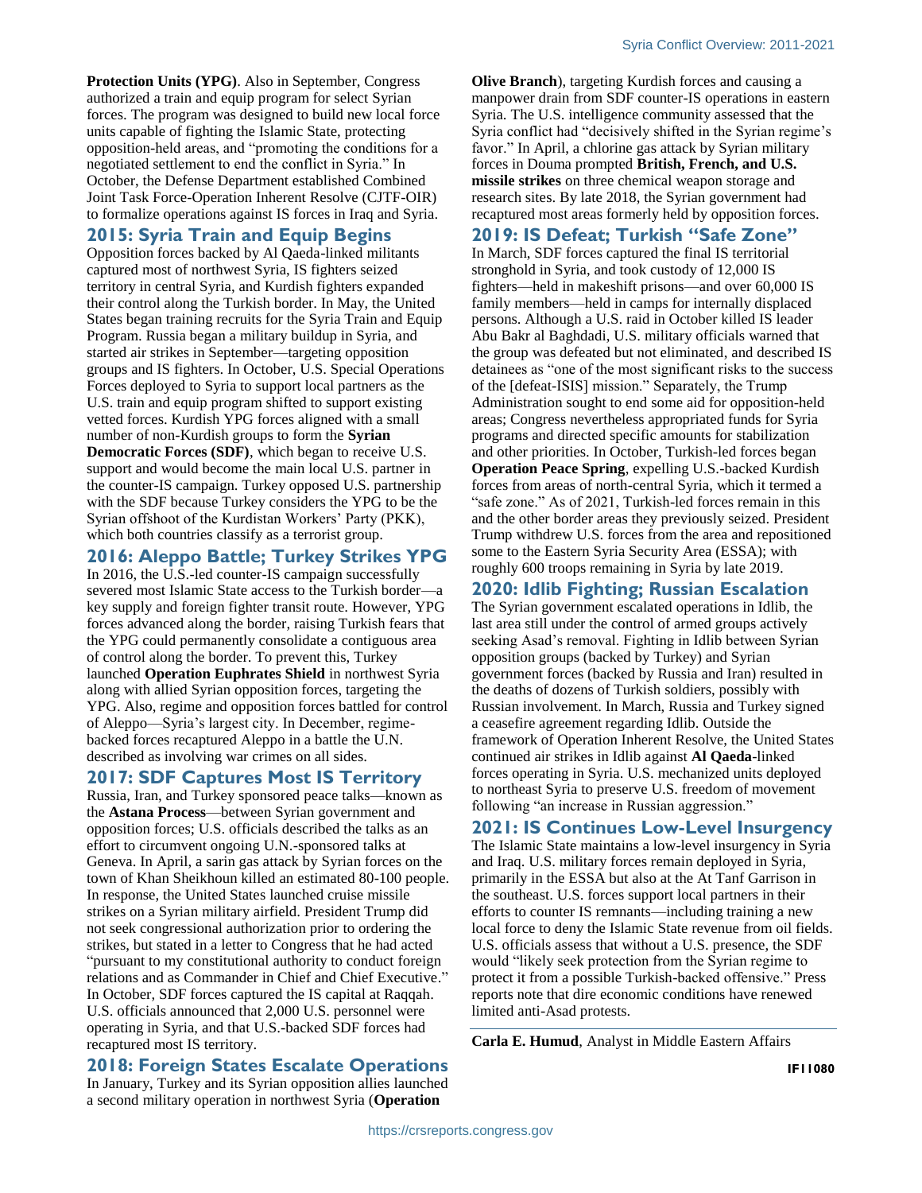**Protection Units (YPG)**. Also in September, Congress authorized a train and equip program for select Syrian forces. The program was designed to build new local force units capable of fighting the Islamic State, protecting opposition-held areas, and "promoting the conditions for a negotiated settlement to end the conflict in Syria." In October, the Defense Department established Combined Joint Task Force-Operation Inherent Resolve (CJTF-OIR) to formalize operations against IS forces in Iraq and Syria.

#### **2015: Syria Train and Equip Begins**

Opposition forces backed by Al Qaeda-linked militants captured most of northwest Syria, IS fighters seized territory in central Syria, and Kurdish fighters expanded their control along the Turkish border. In May, the United States began training recruits for the Syria Train and Equip Program. Russia began a military buildup in Syria, and started air strikes in September—targeting opposition groups and IS fighters. In October, U.S. Special Operations Forces deployed to Syria to support local partners as the U.S. train and equip program shifted to support existing vetted forces. Kurdish YPG forces aligned with a small number of non-Kurdish groups to form the **Syrian Democratic Forces (SDF)**, which began to receive U.S. support and would become the main local U.S. partner in the counter-IS campaign. Turkey opposed U.S. partnership with the SDF because Turkey considers the YPG to be the Syrian offshoot of the Kurdistan Workers' Party (PKK), which both countries classify as a terrorist group.

#### **2016: Aleppo Battle; Turkey Strikes YPG**

In 2016, the U.S.-led counter-IS campaign successfully severed most Islamic State access to the Turkish border—a key supply and foreign fighter transit route. However, YPG forces advanced along the border, raising Turkish fears that the YPG could permanently consolidate a contiguous area of control along the border. To prevent this, Turkey launched **Operation Euphrates Shield** in northwest Syria along with allied Syrian opposition forces, targeting the YPG. Also, regime and opposition forces battled for control of Aleppo—Syria's largest city. In December, regimebacked forces recaptured Aleppo in a battle the U.N. described as involving war crimes on all sides.

# **2017: SDF Captures Most IS Territory**

Russia, Iran, and Turkey sponsored peace talks—known as the **Astana Process**—between Syrian government and opposition forces; U.S. officials described the talks as an effort to circumvent ongoing U.N.-sponsored talks at Geneva. In April, a sarin gas attack by Syrian forces on the town of Khan Sheikhoun killed an estimated 80-100 people. In response, the United States launched cruise missile strikes on a Syrian military airfield. President Trump did not seek congressional authorization prior to ordering the strikes, but stated in a letter to Congress that he had acted "pursuant to my constitutional authority to conduct foreign relations and as Commander in Chief and Chief Executive." In October, SDF forces captured the IS capital at Raqqah. U.S. officials announced that 2,000 U.S. personnel were operating in Syria, and that U.S.-backed SDF forces had recaptured most IS territory.

**2018: Foreign States Escalate Operations** In January, Turkey and its Syrian opposition allies launched a second military operation in northwest Syria (**Operation** 

**Olive Branch**), targeting Kurdish forces and causing a manpower drain from SDF counter-IS operations in eastern Syria. The U.S. intelligence community assessed that the Syria conflict had "decisively shifted in the Syrian regime's favor." In April, a chlorine gas attack by Syrian military forces in Douma prompted **British, French, and U.S. missile strikes** on three chemical weapon storage and research sites. By late 2018, the Syrian government had recaptured most areas formerly held by opposition forces.

#### **2019: IS Defeat; Turkish "Safe Zone"**

In March, SDF forces captured the final IS territorial stronghold in Syria, and took custody of 12,000 IS fighters—held in makeshift prisons—and over 60,000 IS family members—held in camps for internally displaced persons. Although a U.S. raid in October killed IS leader Abu Bakr al Baghdadi, U.S. military officials warned that the group was defeated but not eliminated, and described IS detainees as "one of the most significant risks to the success of the [defeat-ISIS] mission." Separately, the Trump Administration sought to end some aid for opposition-held areas; Congress nevertheless appropriated funds for Syria programs and directed specific amounts for stabilization and other priorities. In October, Turkish-led forces began **Operation Peace Spring**, expelling U.S.-backed Kurdish forces from areas of north-central Syria, which it termed a "safe zone." As of 2021, Turkish-led forces remain in this and the other border areas they previously seized. President Trump withdrew U.S. forces from the area and repositioned some to the Eastern Syria Security Area (ESSA); with roughly 600 troops remaining in Syria by late 2019.

# **2020: Idlib Fighting; Russian Escalation**

The Syrian government escalated operations in Idlib, the last area still under the control of armed groups actively seeking Asad's removal. Fighting in Idlib between Syrian opposition groups (backed by Turkey) and Syrian government forces (backed by Russia and Iran) resulted in the deaths of dozens of Turkish soldiers, possibly with Russian involvement. In March, Russia and Turkey signed a ceasefire agreement regarding Idlib. Outside the framework of Operation Inherent Resolve, the United States continued air strikes in Idlib against **Al Qaeda**-linked forces operating in Syria. U.S. mechanized units deployed to northeast Syria to preserve U.S. freedom of movement following "an increase in Russian aggression."

#### **2021: IS Continues Low-Level Insurgency**

The Islamic State maintains a low-level insurgency in Syria and Iraq. U.S. military forces remain deployed in Syria, primarily in the ESSA but also at the At Tanf Garrison in the southeast. U.S. forces support local partners in their efforts to counter IS remnants—including training a new local force to deny the Islamic State revenue from oil fields. U.S. officials assess that without a U.S. presence, the SDF would "likely seek protection from the Syrian regime to protect it from a possible Turkish-backed offensive." Press reports note that dire economic conditions have renewed limited anti-Asad protests.

**Carla E. Humud**, Analyst in Middle Eastern Affairs